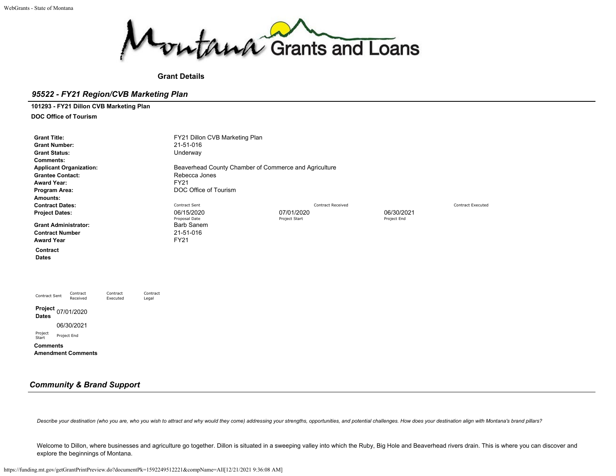

### **Grant Details**

### *95522 - FY21 Region/CVB Marketing Plan*

**101293 - FY21 Dillon CVB Marketing Plan**

**DOC Office of Tourism**

| <b>Grant Title:</b><br><b>Grant Number:</b><br><b>Grant Status:</b><br><b>Comments:</b><br><b>Applicant Organization:</b><br><b>Grantee Contact:</b><br><b>Award Year:</b><br>Program Area:<br>Amounts: | FY21 Dillon CVB Marketing Plan<br>21-51-016<br>Underway<br>Beaverhead County Chamber of Commerce and Agriculture<br>Rebecca Jones<br><b>FY21</b><br>DOC Office of Tourism |                             |                           |
|---------------------------------------------------------------------------------------------------------------------------------------------------------------------------------------------------------|---------------------------------------------------------------------------------------------------------------------------------------------------------------------------|-----------------------------|---------------------------|
| <b>Contract Dates:</b>                                                                                                                                                                                  | Contract Sent                                                                                                                                                             | <b>Contract Received</b>    | <b>Contract Executed</b>  |
| <b>Project Dates:</b>                                                                                                                                                                                   | 06/15/2020<br>Proposal Date                                                                                                                                               | 07/01/2020<br>Project Start | 06/30/2021<br>Project End |
| <b>Grant Administrator:</b><br><b>Contract Number</b><br><b>Award Year</b>                                                                                                                              | <b>Barb Sanem</b><br>21-51-016<br><b>FY21</b>                                                                                                                             |                             |                           |
| Contract<br><b>Dates</b>                                                                                                                                                                                |                                                                                                                                                                           |                             |                           |
| Contract<br>Contract<br>Contract Sent<br>Received<br>Executed                                                                                                                                           | Contract<br>Legal                                                                                                                                                         |                             |                           |
| Project 07/01/2020<br><b>Dates</b>                                                                                                                                                                      |                                                                                                                                                                           |                             |                           |
| 06/30/2021                                                                                                                                                                                              |                                                                                                                                                                           |                             |                           |
| Project<br>Project End<br>Start                                                                                                                                                                         |                                                                                                                                                                           |                             |                           |
| <b>Comments</b><br><b>Amendment Comments</b>                                                                                                                                                            |                                                                                                                                                                           |                             |                           |

### *Community & Brand Support*

Describe your destination (who you are, who you wish to attract and why would they come) addressing your strengths, opportunities, and potential challenges. How does your destination align with Montana's brand pillars?

Welcome to Dillon, where businesses and agriculture go together. Dillon is situated in a sweeping valley into which the Ruby, Big Hole and Beaverhead rivers drain. This is where you can discover and explore the beginnings of Montana.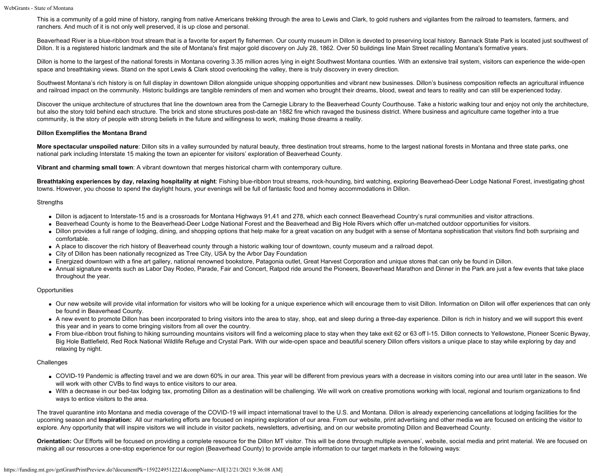This is a community of a gold mine of history, ranging from native Americans trekking through the area to Lewis and Clark, to gold rushers and vigilantes from the railroad to teamsters, farmers, and ranchers. And much of it is not only well preserved, it is up close and personal.

Beaverhead River is a blue-ribbon trout stream that is a favorite for expert fly fishermen. Our county museum in Dillon is devoted to preserving local history. Bannack State Park is located just southwest of Dillon. It is a registered historic landmark and the site of Montana's first major gold discovery on July 28, 1862. Over 50 buildings line Main Street recalling Montana's formative years.

Dillon is home to the largest of the national forests in Montana covering 3.35 million acres lying in eight Southwest Montana counties. With an extensive trail system, visitors can experience the wide-open space and breathtaking views. Stand on the spot Lewis & Clark stood overlooking the valley, there is truly discovery in every direction.

Southwest Montana's rich history is on full display in downtown Dillon alongside unique shopping opportunities and vibrant new businesses. Dillon's business composition reflects an agricultural influence and railroad impact on the community. Historic buildings are tangible reminders of men and women who brought their dreams, blood, sweat and tears to reality and can still be experienced today.

Discover the unique architecture of structures that line the downtown area from the Carnegie Library to the Beaverhead County Courthouse. Take a historic walking tour and enjoy not only the architecture, but also the story told behind each structure. The brick and stone structures post-date an 1882 fire which ravaged the business district. Where business and agriculture came together into a true community, is the story of people with strong beliefs in the future and willingness to work, making those dreams a reality.

#### **Dillon Exemplifies the Montana Brand**

**More spectacular unspoiled nature**: Dillon sits in a valley surrounded by natural beauty, three destination trout streams, home to the largest national forests in Montana and three state parks, one national park including Interstate 15 making the town an epicenter for visitors' exploration of Beaverhead County.

**Vibrant and charming small town**: A vibrant downtown that merges historical charm with contemporary culture.

**Breathtaking experiences by day, relaxing hospitality at night**: Fishing blue-ribbon trout streams, rock-hounding, bird watching, exploring Beaverhead-Deer Lodge National Forest, investigating ghost towns. However, you choose to spend the daylight hours, your evenings will be full of fantastic food and homey accommodations in Dillon.

#### **Strengths**

- Dillon is adjacent to Interstate-15 and is a crossroads for Montana Highways 91,41 and 278, which each connect Beaverhead Country's rural communities and visitor attractions.
- Beaverhead County is home to the Beaverhead-Deer Lodge National Forest and the Beaverhead and Big Hole Rivers which offer un-matched outdoor opportunities for visitors.
- Dillon provides a full range of lodging, dining, and shopping options that help make for a great vacation on any budget with a sense of Montana sophistication that visitors find both surprising and comfortable.
- A place to discover the rich history of Beaverhead county through a historic walking tour of downtown, county museum and a railroad depot.
- City of Dillon has been nationally recognized as Tree City, USA by the Arbor Day Foundation
- Energized downtown with a fine art gallery, national renowned bookstore, Patagonia outlet, Great Harvest Corporation and unique stores that can only be found in Dillon.
- Annual signature events such as Labor Day Rodeo, Parade, Fair and Concert, Ratpod ride around the Pioneers, Beaverhead Marathon and Dinner in the Park are just a few events that take place throughout the year.

#### **Opportunities**

- Our new website will provide vital information for visitors who will be looking for a unique experience which will encourage them to visit Dillon. Information on Dillon will offer experiences that can only be found in Beaverhead County.
- A new event to promote Dillon has been incorporated to bring visitors into the area to stay, shop, eat and sleep during a three-day experience. Dillon is rich in history and we will support this event this year and in years to come bringing visitors from all over the country.
- From blue-ribbon trout fishing to hiking surrounding mountains visitors will find a welcoming place to stay when they take exit 62 or 63 off I-15. Dillon connects to Yellowstone, Pioneer Scenic Byway, Big Hole Battlefield, Red Rock National Wildlife Refuge and Crystal Park. With our wide-open space and beautiful scenery Dillon offers visitors a unique place to stay while exploring by day and relaxing by night.

#### **Challenges**

- COVID-19 Pandemic is affecting travel and we are down 60% in our area. This year will be different from previous years with a decrease in visitors coming into our area until later in the season. We will work with other CVBs to find ways to entice visitors to our area.
- With a decrease in our bed-tax lodging tax, promoting Dillon as a destination will be challenging. We will work on creative promotions working with local, regional and tourism organizations to find ways to entice visitors to the area.

The travel quarantine into Montana and media coverage of the COVID-19 will impact international travel to the U.S. and Montana. Dillon is already experiencing cancellations at lodging facilities for the upcoming season and **Inspiration:** All our marketing efforts are focused on inspiring exploration of our area. From our website, print advertising and other media we are focused on enticing the visitor to explore. Any opportunity that will inspire visitors we will include in visitor packets, newsletters, advertising, and on our website promoting Dillon and Beaverhead County.

Orientation: Our Efforts will be focused on providing a complete resource for the Dillon MT visitor. This will be done through multiple avenues', website, social media and print material. We are focused on making all our resources a one-stop experience for our region (Beaverhead County) to provide ample information to our target markets in the following ways: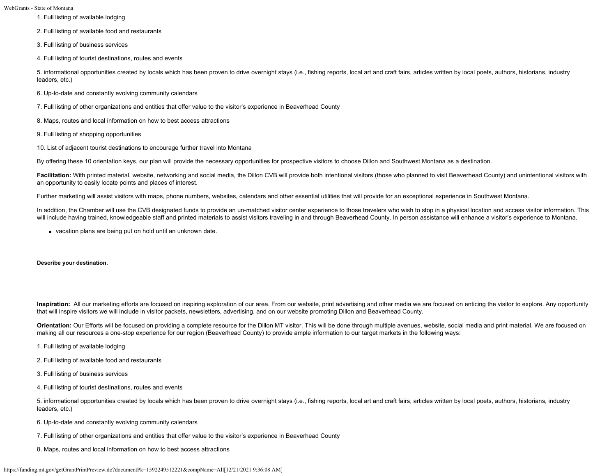WebGrants - State of Montana

- 1. Full listing of available lodging
- 2. Full listing of available food and restaurants
- 3. Full listing of business services
- 4. Full listing of tourist destinations, routes and events

5. informational opportunities created by locals which has been proven to drive overnight stays (i.e., fishing reports, local art and craft fairs, articles written by local poets, authors, historians, industry leaders, etc.)

- 6. Up-to-date and constantly evolving community calendars
- 7. Full listing of other organizations and entities that offer value to the visitor's experience in Beaverhead County
- 8. Maps, routes and local information on how to best access attractions
- 9. Full listing of shopping opportunities
- 10. List of adjacent tourist destinations to encourage further travel into Montana

By offering these 10 orientation keys, our plan will provide the necessary opportunities for prospective visitors to choose Dillon and Southwest Montana as a destination.

Facilitation: With printed material, website, networking and social media, the Dillon CVB will provide both intentional visitors (those who planned to visit Beaverhead County) and unintentional visitors with an opportunity to easily locate points and places of interest.

Further marketing will assist visitors with maps, phone numbers, websites, calendars and other essential utilities that will provide for an exceptional experience in Southwest Montana.

In addition, the Chamber will use the CVB designated funds to provide an un-matched visitor center experience to those travelers who wish to stop in a physical location and access visitor information. This will include having trained, knowledgeable staff and printed materials to assist visitors traveling in and through Beaverhead County. In person assistance will enhance a visitor's experience to Montana.

vacation plans are being put on hold until an unknown date.

#### **Describe your destination.**

Inspiration: All our marketing efforts are focused on inspiring exploration of our area. From our website, print advertising and other media we are focused on enticing the visitor to explore. Any opportunity that will inspire visitors we will include in visitor packets, newsletters, advertising, and on our website promoting Dillon and Beaverhead County.

Orientation: Our Efforts will be focused on providing a complete resource for the Dillon MT visitor. This will be done through multiple avenues, website, social media and print material. We are focused on making all our resources a one-stop experience for our region (Beaverhead County) to provide ample information to our target markets in the following ways:

- 1. Full listing of available lodging
- 2. Full listing of available food and restaurants
- 3. Full listing of business services
- 4. Full listing of tourist destinations, routes and events

5. informational opportunities created by locals which has been proven to drive overnight stays (i.e., fishing reports, local art and craft fairs, articles written by local poets, authors, historians, industry leaders, etc.)

- 6. Up-to-date and constantly evolving community calendars
- 7. Full listing of other organizations and entities that offer value to the visitor's experience in Beaverhead County
- 8. Maps, routes and local information on how to best access attractions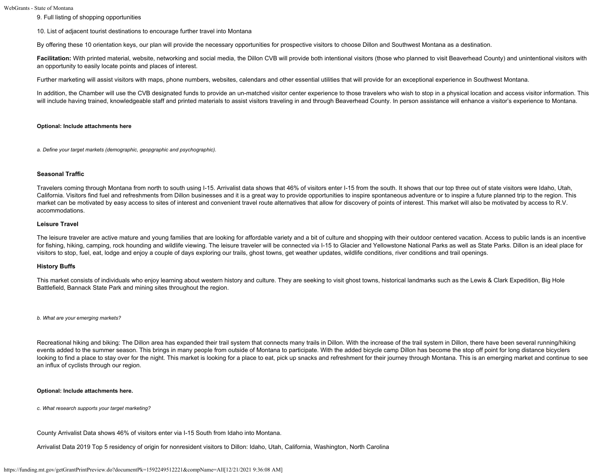WebGrants - State of Montana

9. Full listing of shopping opportunities

10. List of adjacent tourist destinations to encourage further travel into Montana

By offering these 10 orientation keys, our plan will provide the necessary opportunities for prospective visitors to choose Dillon and Southwest Montana as a destination.

Facilitation: With printed material, website, networking and social media, the Dillon CVB will provide both intentional visitors (those who planned to visit Beaverhead County) and unintentional visitors with an opportunity to easily locate points and places of interest.

Further marketing will assist visitors with maps, phone numbers, websites, calendars and other essential utilities that will provide for an exceptional experience in Southwest Montana.

In addition, the Chamber will use the CVB designated funds to provide an un-matched visitor center experience to those travelers who wish to stop in a physical location and access visitor information. This will include having trained, knowledgeable staff and printed materials to assist visitors traveling in and through Beaverhead County. In person assistance will enhance a visitor's experience to Montana.

#### **Optional: Include attachments here**

*a. Define your target markets (demographic, geopgraphic and psychographic).*

#### **Seasonal Traffic**

Travelers coming through Montana from north to south using I-15. Arrivalist data shows that 46% of visitors enter I-15 from the south. It shows that our top three out of state visitors were Idaho, Utah, California. Visitors find fuel and refreshments from Dillon businesses and it is a great way to provide opportunities to inspire spontaneous adventure or to inspire a future planned trip to the region. This market can be motivated by easy access to sites of interest and convenient travel route alternatives that allow for discovery of points of interest. This market will also be motivated by access to R.V. accommodations.

#### **Leisure Travel**

The leisure traveler are active mature and young families that are looking for affordable variety and a bit of culture and shopping with their outdoor centered vacation. Access to public lands is an incentive for fishing, hiking, camping, rock hounding and wildlife viewing. The leisure traveler will be connected via I-15 to Glacier and Yellowstone National Parks as well as State Parks. Dillon is an ideal place for visitors to stop, fuel, eat, lodge and enjoy a couple of days exploring our trails, ghost towns, get weather updates, wildlife conditions, river conditions and trail openings.

#### **History Buffs**

This market consists of individuals who enjoy learning about western history and culture. They are seeking to visit ghost towns, historical landmarks such as the Lewis & Clark Expedition, Big Hole Battlefield, Bannack State Park and mining sites throughout the region.

*b. What are your emerging markets?*

Recreational hiking and biking: The Dillon area has expanded their trail system that connects many trails in Dillon. With the increase of the trail system in Dillon, there have been several running/hiking events added to the summer season. This brings in many people from outside of Montana to participate. With the added bicycle camp Dillon has become the stop off point for long distance bicyclers looking to find a place to stay over for the night. This market is looking for a place to eat, pick up snacks and refreshment for their journey through Montana. This is an emerging market and continue to see an influx of cyclists through our region.

#### **Optional: Include attachments here.**

*c. What research supports your target marketing?*

County Arrivalist Data shows 46% of visitors enter via I-15 South from Idaho into Montana.

Arrivalist Data 2019 Top 5 residency of origin for nonresident visitors to Dillon: Idaho, Utah, California, Washington, North Carolina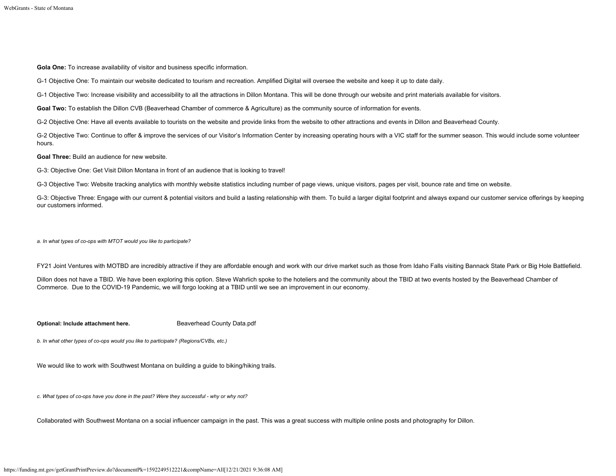**Gola One:** To increase availability of visitor and business specific information.

G-1 Objective One: To maintain our website dedicated to tourism and recreation. Amplified Digital will oversee the website and keep it up to date daily.

G-1 Objective Two: Increase visibility and accessibility to all the attractions in Dillon Montana. This will be done through our website and print materials available for visitors.

**Goal Two:** To establish the Dillon CVB (Beaverhead Chamber of commerce & Agriculture) as the community source of information for events.

G-2 Objective One: Have all events available to tourists on the website and provide links from the website to other attractions and events in Dillon and Beaverhead County.

G-2 Objective Two: Continue to offer & improve the services of our Visitor's Information Center by increasing operating hours with a VIC staff for the summer season. This would include some volunteer hours.

**Goal Three:** Build an audience for new website.

G-3: Objective One: Get Visit Dillon Montana in front of an audience that is looking to travel!

G-3 Objective Two: Website tracking analytics with monthly website statistics including number of page views, unique visitors, pages per visit, bounce rate and time on website.

G-3: Objective Three: Engage with our current & potential visitors and build a lasting relationship with them. To build a larger digital footprint and always expand our customer service offerings by keeping our customers informed.

*a. In what types of co-ops with MTOT would you like to participate?*

FY21 Joint Ventures with MOTBD are incredibly attractive if they are affordable enough and work with our drive market such as those from Idaho Falls visiting Bannack State Park or Big Hole Battlefield.

Dillon does not have a TBID. We have been exploring this option. Steve Wahrlich spoke to the hoteliers and the community about the TBID at two events hosted by the Beaverhead Chamber of Commerce. Due to the COVID-19 Pandemic, we will forgo looking at a TBID until we see an improvement in our economy.

**Optional: Include attachment here.** [Beaverhead County Data.pdf](https://funding.mt.gov/fileDownload.jsp?filename=1588025438980_Beaverhead+County+Data.pdf)

*b. In what other types of co-ops would you like to participate? (Regions/CVBs, etc.)*

We would like to work with Southwest Montana on building a guide to biking/hiking trails.

*c. What types of co-ops have you done in the past? Were they successful - why or why not?*

Collaborated with Southwest Montana on a social influencer campaign in the past. This was a great success with multiple online posts and photography for Dillon.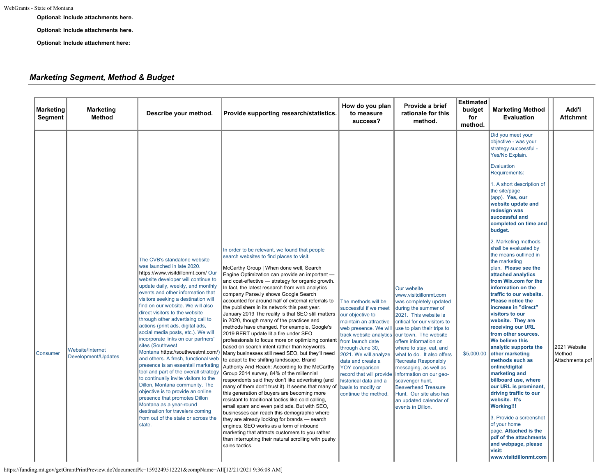**Optional: Include attachments here.**

**Optional: Include attachments here.**

**Optional: Include attachment here:**

# *Marketing Segment, Method & Budget*

| <b>Marketing</b><br>Segment | <b>Marketing</b><br>Method                     | Describe your method.                                                                                                                                                                                                                                                                                                                                                                                                                                                                                                                                                                                                                                                                                                                                                                                                                                                                                                               | Provide supporting research/statistics.                                                                                                                                                                                                                                                                                                                                                                                                                                                                                                                                                                                                                                                                                                                                                                                                                                                                                                                                                                                                                                                                                                                                                                                                                                                                                                                                                                                                                                              | How do you plan<br>to measure<br>success?                                                                                                                                                                                                                                                                                                                        | Provide a brief<br>rationale for this<br>method.                                                                                                                                                                                                                                                                                                                                                                                                                                                       | <b>Estimated</b><br>budget<br>for<br>method. | <b>Marketing Method</b><br><b>Evaluation</b>                                                                                                                                                                                                                                                                                                                                                                                                                                                                                                                                                                                                                                                                                                                                                                                                                                                                                                                                                                     | <b>Add'l</b><br><b>Attchmnt</b>           |
|-----------------------------|------------------------------------------------|-------------------------------------------------------------------------------------------------------------------------------------------------------------------------------------------------------------------------------------------------------------------------------------------------------------------------------------------------------------------------------------------------------------------------------------------------------------------------------------------------------------------------------------------------------------------------------------------------------------------------------------------------------------------------------------------------------------------------------------------------------------------------------------------------------------------------------------------------------------------------------------------------------------------------------------|--------------------------------------------------------------------------------------------------------------------------------------------------------------------------------------------------------------------------------------------------------------------------------------------------------------------------------------------------------------------------------------------------------------------------------------------------------------------------------------------------------------------------------------------------------------------------------------------------------------------------------------------------------------------------------------------------------------------------------------------------------------------------------------------------------------------------------------------------------------------------------------------------------------------------------------------------------------------------------------------------------------------------------------------------------------------------------------------------------------------------------------------------------------------------------------------------------------------------------------------------------------------------------------------------------------------------------------------------------------------------------------------------------------------------------------------------------------------------------------|------------------------------------------------------------------------------------------------------------------------------------------------------------------------------------------------------------------------------------------------------------------------------------------------------------------------------------------------------------------|--------------------------------------------------------------------------------------------------------------------------------------------------------------------------------------------------------------------------------------------------------------------------------------------------------------------------------------------------------------------------------------------------------------------------------------------------------------------------------------------------------|----------------------------------------------|------------------------------------------------------------------------------------------------------------------------------------------------------------------------------------------------------------------------------------------------------------------------------------------------------------------------------------------------------------------------------------------------------------------------------------------------------------------------------------------------------------------------------------------------------------------------------------------------------------------------------------------------------------------------------------------------------------------------------------------------------------------------------------------------------------------------------------------------------------------------------------------------------------------------------------------------------------------------------------------------------------------|-------------------------------------------|
| Consumer                    | <b>Website/Internet</b><br>Development/Updates | The CVB's standalone website<br>was launched in late 2020.<br>https://www.visitdillonmt.com/ Our<br>website developer will continue to<br>update daily, weekly, and monthly<br>events and other information that<br>visitors seeking a destination will<br>find on our website. We will also<br>direct visitors to the website<br>through other advertising call to<br>actions (print ads, digital ads,<br>social media posts, etc.). We will<br>incorporate links on our partners'<br>sites (Southwest<br>Montana https://southwestmt.com/)<br>and others. A fresh, functional web<br>presence is an essentail marketing<br>tool and part of the overall strategy<br>to continually invite visitors to the<br>Dillon, Montana community. The<br>objective is to provide an online<br>presence that promotes Dillon<br>Montana as a year-round<br>destination for travelers coming<br>from out of the state or across the<br>state. | In order to be relevant, we found that people<br>search websites to find places to visit.<br>McCarthy Group   When done well, Search<br>Engine Optimization can provide an important -<br>and cost-effective - strategy for organic growth.<br>In fact, the latest research from web analytics<br>company Parse.ly shows Google Search<br>accounted for around half of external referrals to<br>the publishers in its network this past year.<br>January 2019 The reality is that SEO still matters<br>in 2020, though many of the practices and<br>methods have changed. For example, Google's<br>2019 BERT update lit a fire under SEO<br>professionals to focus more on optimizing content<br>based on search intent rather than keywords.<br>Many businesses still need SEO, but they'll need<br>to adapt to the shifting landscape. Brand<br>Authority And Reach: According to the McCarthy<br>Group 2014 survey, 84% of the millennial<br>respondents said they don't like advertising (and<br>many of them don't trust it). It seems that many of<br>this generation of buyers are becoming more<br>resistant to traditional tactics like cold calling,<br>email spam and even paid ads. But with SEO,<br>businesses can reach this demographic where<br>they are already looking for brands - search<br>engines. SEO works as a form of inbound<br>marketing that attracts customers to you rather<br>than interrupting their natural scrolling with pushy<br>sales tactics. | The methods will be<br>successful if we meet<br>our objective to<br>maintain an attractive<br>web presence. We will<br>track website analytics<br>from launch date<br>through June 30,<br>2021. We will analyze<br>data and create a<br><b>YOY</b> comparison<br>record that will provide<br>historical data and a<br>basis to modify or<br>continue the method. | Our website<br>www.visitdillonmt.com<br>was completely updated<br>during the summer of<br>2021. This website is<br>critical for our visitors to<br>use to plan their trips to<br>our town. The website<br>offers information on<br>where to stay, eat, and<br>what to do. It also offers<br><b>Recreate Responsibly</b><br>messaging, as well as<br>information on our geo-<br>scavenger hunt,<br><b>Beaverhead Treasure</b><br>Hunt. Our site also has<br>an updated calendar of<br>events in Dillon. | \$5,000.00                                   | Did you meet your<br>objective - was your<br>strategy successful -<br>Yes/No Explain.<br>Evaluation<br>Requirements:<br>1. A short description of<br>the site/page<br>(app). Yes, our<br>website update and<br>redesign was<br>successful and<br>completed on time and<br>budget.<br>2. Marketing methods<br>shall be evaluated by<br>the means outlined in<br>the marketing<br>plan. Please see the<br>attached analytics<br>from Wix.com for the<br>information on the<br>traffic to our website.<br><b>Please notice the</b><br>increase in "direct"<br>visitors to our<br>website. They are<br>receiving our URL<br>from other sources.<br>We believe this<br>analytic supports the<br>other marketing<br>methods such as<br>online/digital<br>marketing and<br>billboard use, where<br>our URL is prominant,<br>driving traffic to our<br>website. It's<br><b>Working!!!</b><br>3. Provide a screenshot<br>of your home<br>page. Attached is the<br>pdf of the attachments<br>and webpage, please<br>visit: | 2021 Website<br>Method<br>Attachments.pdf |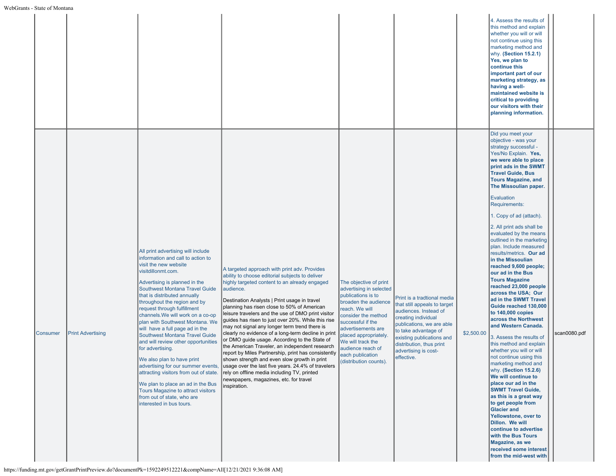|          |                          |                                                                                                                                                                                                                                                                                                                                                                                                                                                                                                                                                                                                                                                                                                                                                                   |                                                                                                                                                                                                                                                                                                                                                                                                                                                                                                                                                                                                                                                                                                                                                                                                                                                           |                                                                                                                                                                                                                                                                                                      |                                                                                                                                                                                                                                                                 |            | 4. Assess the results of<br>this method and explain<br>whether you will or will<br>not continue using this<br>marketing method and<br>why. (Section 15.2.1)<br>Yes, we plan to<br>continue this<br>important part of our<br>marketing strategy, as<br>having a well-<br>maintained website is<br>critical to providing<br>our visitors with their<br>planning information.                                                                                                                                                                                                                                                                                                                                                                                                                                                                                                                                                                                                                                                                                                                                                                                                            |              |  |
|----------|--------------------------|-------------------------------------------------------------------------------------------------------------------------------------------------------------------------------------------------------------------------------------------------------------------------------------------------------------------------------------------------------------------------------------------------------------------------------------------------------------------------------------------------------------------------------------------------------------------------------------------------------------------------------------------------------------------------------------------------------------------------------------------------------------------|-----------------------------------------------------------------------------------------------------------------------------------------------------------------------------------------------------------------------------------------------------------------------------------------------------------------------------------------------------------------------------------------------------------------------------------------------------------------------------------------------------------------------------------------------------------------------------------------------------------------------------------------------------------------------------------------------------------------------------------------------------------------------------------------------------------------------------------------------------------|------------------------------------------------------------------------------------------------------------------------------------------------------------------------------------------------------------------------------------------------------------------------------------------------------|-----------------------------------------------------------------------------------------------------------------------------------------------------------------------------------------------------------------------------------------------------------------|------------|---------------------------------------------------------------------------------------------------------------------------------------------------------------------------------------------------------------------------------------------------------------------------------------------------------------------------------------------------------------------------------------------------------------------------------------------------------------------------------------------------------------------------------------------------------------------------------------------------------------------------------------------------------------------------------------------------------------------------------------------------------------------------------------------------------------------------------------------------------------------------------------------------------------------------------------------------------------------------------------------------------------------------------------------------------------------------------------------------------------------------------------------------------------------------------------|--------------|--|
| Consumer | <b>Print Advertising</b> | All print advertising will include<br>information and call to action to<br>visit the new website<br>visitdillonmt.com.<br>Advertising is planned in the<br><b>Southwest Montana Travel Guide</b><br>that is distributed annually<br>throughout the region and by<br>request through fulfillment<br>channels. We will work on a co-op<br>plan with Southwest Montana. We<br>will have a full page ad in the<br><b>Southwest Montana Travel Guide</b><br>and will review other opportunities<br>for advertising.<br>We also plan to have print<br>advertising for our summer events,<br>attracting visitors from out of state.<br>We plan to place an ad in the Bus<br>Tours Magazine to attract visitors<br>from out of state, who are<br>interested in bus tours. | A targeted approach with print adv. Provides<br>ability to choose editorial subjects to deliver<br>highly targeted content to an already engaged<br>audience.<br>Destination Analysts   Print usage in travel<br>planning has risen close to 50% of American<br>leisure travelers and the use of DMO print visitor<br>guides has risen to just over 20%. While this rise<br>may not signal any longer term trend there is<br>clearly no evidence of a long-term decline in print<br>or DMO guide usage. According to the State of<br>the American Traveler, an independent research<br>report by Miles Partnership, print has consistently<br>shown strength and even slow growth in print<br>usage over the last five years. 24.4% of travelers<br>rely on offline media including TV, printed<br>newspapers, magazines, etc. for travel<br>inspiration. | The objective of print<br>advertising in selected<br>publications is to<br>broaden the audience<br>reach. We will<br>consider the method<br>successful if the<br>advertisements are<br>placed appropriately.<br>We will track the<br>audience reach of<br>each publication<br>(distribution counts). | Print is a tradtional media<br>that still appeals to target<br>audiences. Instead of<br>creating individual<br>publications, we are able<br>to take advantage of<br>existing publications and<br>distribution, thus print<br>advertising is cost-<br>effective. | \$2,500.00 | Did you meet your<br>objective - was your<br>strategy successful -<br>Yes/No Explain. Yes,<br>we were able to place<br>print ads in the SWMT<br><b>Travel Guide, Bus</b><br><b>Tours Magazine, and</b><br>The Missoulian paper.<br>Evaluation<br>Requirements:<br>1. Copy of ad (attach).<br>2. All print ads shall be<br>evaluated by the means<br>outlined in the marketing<br>plan. Include measured<br>results/metrics. Our ad<br>in the Missoulian<br>reached 9,600 people;<br>our ad in the Bus<br><b>Tours Magazine</b><br>reached 23,000 people<br>across the USA; Our<br>ad in the SWMT Travel<br>Guide reached 130,000<br>to 140,000 copies<br>across the Northwest<br>and Western Canada.<br>3. Assess the results of<br>this method and explain<br>whether you will or will<br>not continue using this<br>marketing method and<br>why. (Section 15.2.6)<br>We will continue to<br>place our ad in the<br><b>SWMT Travel Guide,</b><br>as this is a great way<br>to get people from<br><b>Glacier and</b><br>Yellowstone, over to<br>Dillon. We will<br>continue to advertise<br>with the Bus Tours<br>Magazine, as we<br>received some interest<br>from the mid-west with | scan0080.pdf |  |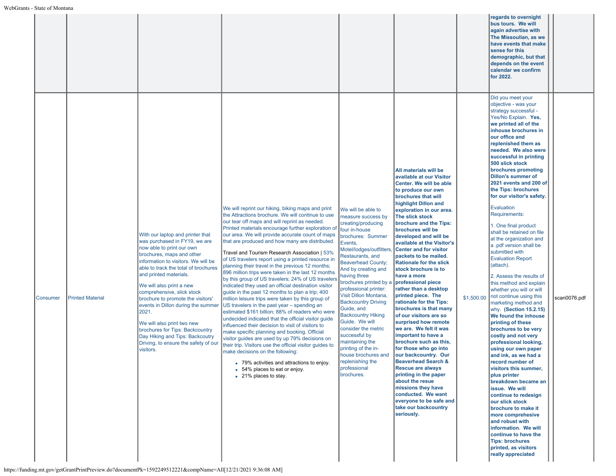|                                     |                    |                                                                                                                                                                                                                                                                                                                                                                                                                                                                                                                       |                                                                                                                                                                                                                                                                                                                                                                                                                                                                                                                                                                                                                                                                                                                                                                                                                                                                                                                                                                                                                                                                                                                                                                                                                                                                                    |                                                                                                                                                                                                                                                                                                                                                                                                                                                                                                                                                                      |                                                                                                                                                                                                                                                                                                                                                                                                                                                                                                                                                                                                                                                                                                                                                                                                                                                                                                                                                                   |            | regards to overnight<br>bus tours. We will<br>again advertise with<br>The Missoulian, as we<br>have events that make<br>sense for this<br>demographic, but that<br>depends on the event<br>calendar we confirm<br>for 2022.                                                                                                                                                                                                                                                                                                                                                                                                                                                                                                                                                                                                                                                                                                                                                                                                                                                                                                                                                                                                                                                  |              |
|-------------------------------------|--------------------|-----------------------------------------------------------------------------------------------------------------------------------------------------------------------------------------------------------------------------------------------------------------------------------------------------------------------------------------------------------------------------------------------------------------------------------------------------------------------------------------------------------------------|------------------------------------------------------------------------------------------------------------------------------------------------------------------------------------------------------------------------------------------------------------------------------------------------------------------------------------------------------------------------------------------------------------------------------------------------------------------------------------------------------------------------------------------------------------------------------------------------------------------------------------------------------------------------------------------------------------------------------------------------------------------------------------------------------------------------------------------------------------------------------------------------------------------------------------------------------------------------------------------------------------------------------------------------------------------------------------------------------------------------------------------------------------------------------------------------------------------------------------------------------------------------------------|----------------------------------------------------------------------------------------------------------------------------------------------------------------------------------------------------------------------------------------------------------------------------------------------------------------------------------------------------------------------------------------------------------------------------------------------------------------------------------------------------------------------------------------------------------------------|-------------------------------------------------------------------------------------------------------------------------------------------------------------------------------------------------------------------------------------------------------------------------------------------------------------------------------------------------------------------------------------------------------------------------------------------------------------------------------------------------------------------------------------------------------------------------------------------------------------------------------------------------------------------------------------------------------------------------------------------------------------------------------------------------------------------------------------------------------------------------------------------------------------------------------------------------------------------|------------|------------------------------------------------------------------------------------------------------------------------------------------------------------------------------------------------------------------------------------------------------------------------------------------------------------------------------------------------------------------------------------------------------------------------------------------------------------------------------------------------------------------------------------------------------------------------------------------------------------------------------------------------------------------------------------------------------------------------------------------------------------------------------------------------------------------------------------------------------------------------------------------------------------------------------------------------------------------------------------------------------------------------------------------------------------------------------------------------------------------------------------------------------------------------------------------------------------------------------------------------------------------------------|--------------|
| <b>Printed Material</b><br>Consumer | 2021.<br>visitors. | With our laptop and printer that<br>was purchased in FY19, we are<br>now able to print our own<br>brochures, maps and other<br>information to visitors. We will be<br>able to track the total of brochures<br>and printed materials.<br>We will also print a new<br>comprehensive, slick stock<br>brochure to promote the visitors'<br>events in Dillon during the summer<br>We will also print two new<br>brochures for Tips: Backcountry<br>Day Hiking and Tips: Backcoutry<br>Driving, to ensure the safety of our | We will reprint our hiking, biking maps and print<br>the Attractions brochure. We will continue to use<br>our tear off maps and will reprint as needed.<br>Printed materials encourage further exploration of<br>our area. We will provide accurate count of maps<br>that are produced and how many are distributed.<br>Travel and Tourism Research Association   53%<br>of US travelers report using a printed resource in<br>planning their travel in the previous 12 months;<br>896 million trips were taken in the last 12 months<br>by this group of US travelers; 24% of US travelers<br>indicated they used an official destination visitor<br>guide in the past 12 months to plan a trip; 400<br>million leisure trips were taken by this group of<br>US travelers in the past year - spending an<br>estimated \$161 billion; 88% of readers who were<br>undecided indicated that the official visitor guide<br>influenced their decision to visit of visitors to<br>make specific planning and booking. Official<br>visitor guides are used by up 79% decisions on<br>their trip. Visitors use the official visitor quides to<br>make decisions on the following:<br>• 79% activities and attractions to enjoy.<br>• 54% places to eat or enjoy.<br>• 21% places to stay. | We will be able to<br>measure success by<br>creating/producing<br>four in-house<br>brochures: Summer<br>Events,<br>Motel/lodges/outfitters<br>Restaurants, and<br><b>Beaverhead County;</b><br>And by creating and<br>having three<br>brochures printed by a<br>professional printer:<br>Visit Dillon Montana,<br><b>Backcountry Driving</b><br>Guide, and<br><b>Backcountry Hiking</b><br>Guide. We will<br>consider the metric<br>successful by<br>maintaining the<br>printing of the in-<br>house brochures and<br>replenishing the<br>professional<br>brochures. | All materials will be<br>available at our Visitor<br>Center. We will be able<br>to produce our own<br>brochures that will<br>highlight Dillon and<br>exploration in our area.<br>The slick stock<br>brochure and the Tips:<br>brochures will be<br>developed and will be<br>available at the Visitor's<br>Center and for visitor<br>packets to be mailed.<br><b>Rationale for the slick</b><br>stock brochure is to<br>have a more<br>professional piece<br>rather than a desktop<br>printed piece. The<br>rationale for the Tips:<br>brochures is that many<br>of our visitors are so<br>surprised how remote<br>we are. We felt it was<br>important to have a<br>brochure such as this,<br>for those who go into<br>our backcountry. Our<br><b>Beaverhead Search &amp;</b><br><b>Rescue are always</b><br>printing in the paper<br>about the resue<br>missions they have<br>conducted. We want<br>everyone to be safe and<br>take our backcountry<br>seriously. | \$1,500.00 | Did you meet your<br>objective - was your<br>strategy successful -<br>Yes/No Explain. Yes,<br>we printed all of the<br>inhouse brochures in<br>our office and<br>replenished them as<br>needed. We also were<br>successful in printing<br>500 slick stock<br>brochures promoting<br><b>Dillon's summer of</b><br>2021 events and 200 of<br>the Tips: brochures<br>for our visitor's safety.<br>Evaluation<br>Requirements:<br>1. One final product<br>shall be retained on file<br>at the organization and<br>a .pdf version shall be<br>submitted with<br><b>Evaluation Report</b><br>(attach).<br>2. Assess the results of<br>this method and explain<br>whether you will or will<br>not continue using this<br>marketing method and<br>why. (Section 15.2.15)<br>We found the inhouse<br>printing of these<br>brochures to be very<br>costly and not very<br>professional looking,<br>using our own paper<br>and ink, as we had a<br>record number of<br>visitors this summer,<br>plus printer<br>breakdown became an<br>issue. We will<br>continue to redesign<br>our slick stock<br>brochure to make it<br>more comprehesive<br>and robust with<br>information. We will<br>continue to have the<br><b>Tips: brochures</b><br>printed, as visitors<br>really appreciated | scan0076.pdf |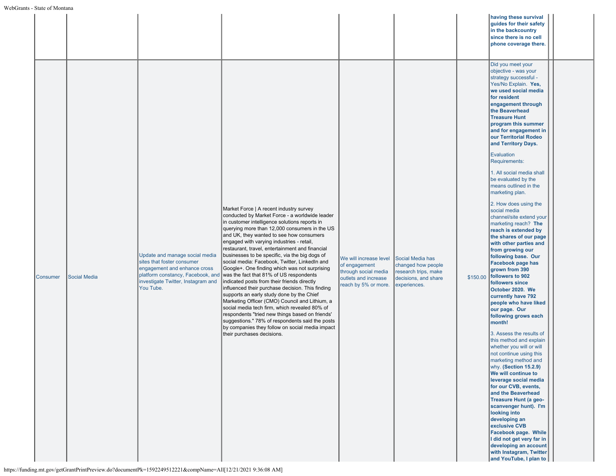|                 |              |                                                                                                                                                                                      |                                                                                                                                                                                                                                                                                                                                                                                                                                                                                                                                                                                                                                                                                                                                                                                                                                                                                                                                                                                  |                                                                                                                 |                                                                                                        |          | having these survival<br>guides for their safety<br>in the backcountry<br>since there is no cell<br>phone coverage there.                                                                                                                                                                                                                                                                                                                                                                                                                                                                                                                                                                                                                                                                                                                                                                                                                                                                                                                                                                                                                                                                                                                                                                                                                                                   |  |
|-----------------|--------------|--------------------------------------------------------------------------------------------------------------------------------------------------------------------------------------|----------------------------------------------------------------------------------------------------------------------------------------------------------------------------------------------------------------------------------------------------------------------------------------------------------------------------------------------------------------------------------------------------------------------------------------------------------------------------------------------------------------------------------------------------------------------------------------------------------------------------------------------------------------------------------------------------------------------------------------------------------------------------------------------------------------------------------------------------------------------------------------------------------------------------------------------------------------------------------|-----------------------------------------------------------------------------------------------------------------|--------------------------------------------------------------------------------------------------------|----------|-----------------------------------------------------------------------------------------------------------------------------------------------------------------------------------------------------------------------------------------------------------------------------------------------------------------------------------------------------------------------------------------------------------------------------------------------------------------------------------------------------------------------------------------------------------------------------------------------------------------------------------------------------------------------------------------------------------------------------------------------------------------------------------------------------------------------------------------------------------------------------------------------------------------------------------------------------------------------------------------------------------------------------------------------------------------------------------------------------------------------------------------------------------------------------------------------------------------------------------------------------------------------------------------------------------------------------------------------------------------------------|--|
| <b>Consumer</b> | Social Media | Update and manage social media<br>sites that foster consumer<br>engagement and enhance cross<br>platform constancy, Facebook, and<br>investigate Twitter, Instagram and<br>You Tube. | Market Force   A recent industry survey<br>conducted by Market Force - a worldwide leader<br>in customer intelligence solutions reports in<br>querying more than 12,000 consumers in the US<br>and UK, they wanted to see how consumers<br>engaged with varying industries - retail,<br>restaurant, travel, entertainment and financial<br>businesses to be specific, via the big dogs of<br>social media: Facebook, Twitter, LinkedIn and<br>Google+. One finding which was not surprising<br>was the fact that 81% of US respondents<br>indicated posts from their friends directly<br>influenced their purchase decision. This finding<br>supports an early study done by the Chief<br>Marketing Officer (CMO) Council and Lithium, a<br>social media tech firm, which revealed 80% of<br>respondents "tried new things based on friends'<br>suggestions." 78% of respondents said the posts<br>by companies they follow on social media impact<br>their purchases decisions. | We will increase level<br>of engagement<br>through social media<br>outlets and increase<br>reach by 5% or more. | Social Media has<br>changed how people<br>research trips, make<br>decisions, and share<br>experiences. | \$150.00 | Did you meet your<br>objective - was your<br>strategy successful -<br>Yes/No Explain. Yes,<br>we used social media<br>for resident<br>engagement through<br>the Beaverhead<br><b>Treasure Hunt</b><br>program this summer<br>and for engagement in<br><b>Our Territorial Rodeo</b><br>and Territory Days.<br>Evaluation<br>Requirements:<br>1. All social media shall<br>be evaluated by the<br>means outlined in the<br>marketing plan.<br>2. How does using the<br>social media<br>channel/site extend your<br>marketing reach? The<br>reach is extended by<br>the shares of our page<br>with other parties and<br>from growing our<br>following base. Our<br><b>Facebook page has</b><br>grown from 390<br>followers to 902<br>followers since<br>October 2020. We<br>currently have 792<br>people who have liked<br>our page. Our<br>following grows each<br>month!<br>3. Assess the results of<br>this method and explain<br>whether you will or will<br>not continue using this<br>marketing method and<br>why. (Section 15.2.9)<br>We will continue to<br>leverage social media<br>for our CVB, events,<br>and the Beaverhead<br>Treasure Hunt (a geo-<br>scanvenger hunt). I'm<br>looking into<br>developing an<br>exclusive CVB<br>Facebook page. While<br>I did not get very far in<br>developing an account<br>with Instagram, Twitter<br>and YouTube, I plan to |  |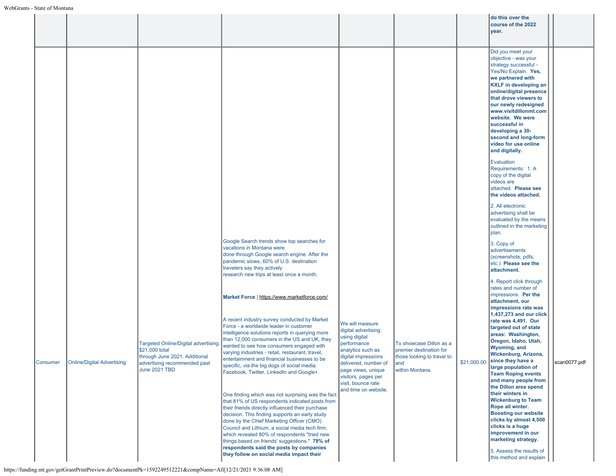|          |                                   |                                                                                                                                                 |                                                                                                                                                                                                                                                                                                                                                                                                                                                                                                   |                                                                                                                                                                                                                    |                                                                                                                     |             | do this over the<br>course of the 2022<br>year.                                                                                                                                                                                                                                                                                                                                                                                                                                                                                                                                                                       |              |
|----------|-----------------------------------|-------------------------------------------------------------------------------------------------------------------------------------------------|---------------------------------------------------------------------------------------------------------------------------------------------------------------------------------------------------------------------------------------------------------------------------------------------------------------------------------------------------------------------------------------------------------------------------------------------------------------------------------------------------|--------------------------------------------------------------------------------------------------------------------------------------------------------------------------------------------------------------------|---------------------------------------------------------------------------------------------------------------------|-------------|-----------------------------------------------------------------------------------------------------------------------------------------------------------------------------------------------------------------------------------------------------------------------------------------------------------------------------------------------------------------------------------------------------------------------------------------------------------------------------------------------------------------------------------------------------------------------------------------------------------------------|--------------|
|          |                                   |                                                                                                                                                 |                                                                                                                                                                                                                                                                                                                                                                                                                                                                                                   |                                                                                                                                                                                                                    |                                                                                                                     |             | Did you meet your<br>objective - was your<br>strategy successful -<br>Yes/No Explain. Yes,<br>we partnered with<br><b>KXLF</b> in developing an<br>online/digital presence<br>that drove viewers to<br>our newly redesigned<br>www.visitdillonmt.com<br>website. We were<br>successful in<br>developing a 30-<br>second and long-form<br>video for use online<br>and digitally.<br>Evaluation<br>Requirements: 1. A<br>copy of the digital<br>videos are<br>attached. Please see<br>the videos attached.<br>2. All electronic<br>advertising shall be<br>evaluated by the means<br>outlined in the marketing<br>plan. |              |
|          |                                   |                                                                                                                                                 | Google Search trends show top searches for<br>vacations in Montana were<br>done through Google search engine. After the<br>pandemic slows, 60% of U.S. destination<br>travelers say they actively<br>research new trips at least once a month.                                                                                                                                                                                                                                                    |                                                                                                                                                                                                                    |                                                                                                                     |             | 3. Copy of<br>advertisements<br>(screenshots, pdfs,<br>etc.) Please see the<br>attachment.                                                                                                                                                                                                                                                                                                                                                                                                                                                                                                                            |              |
|          |                                   |                                                                                                                                                 | Market Force   https://www.marketforce.com/<br>A recent industry survey conducted by Market<br>Force - a worldwide leader in customer                                                                                                                                                                                                                                                                                                                                                             | We will measure                                                                                                                                                                                                    |                                                                                                                     |             | 4. Report click through<br>rates and number of<br>impressions. Per the<br>attachment, our<br>impressions rate was<br>1,437,273 and our click<br>rate was 4,491. Our<br>targeted out of state                                                                                                                                                                                                                                                                                                                                                                                                                          |              |
| Consumer | <b>Online/Digital Advertising</b> | Targeted Online/Digital advertising:<br>\$21,000 total<br>through June 2021. Additional<br>advertising recommended past<br><b>June 2021 TBD</b> | intelligence solutions reports in querying more<br>than 12,000 consumers in the US and UK, they<br>wanted to see how consumers engaged with<br>varying industries - retail, restaurant, travel,<br>entertainment and financial businesses to be<br>specific, via the big dogs of social media:<br>Facebook, Twitter, LinkedIn and Google+.                                                                                                                                                        | digital advertising<br>using digital<br>performance<br>analytics such as<br>digital impressions<br>delivered, number of<br>page views, unique<br>visitors, pages per<br>visit, bounce rate<br>and time on website. | To showcase Dillon as a<br><u>Ipremier destination for</u><br>those looking to travel to<br>land<br>within Montana. | \$21,000.00 | areas: Washington,<br>Oregon, Idaho, Utah,<br><b>Wyoming, and</b><br>Wickenburg, Arizona,<br>since they have a<br>large population of<br><b>Team Roping events</b><br>and many people from<br>the Dillon area spend                                                                                                                                                                                                                                                                                                                                                                                                   | scan0077.pdf |
|          |                                   |                                                                                                                                                 | One finding which was not surprising was the fact<br>that 81% of US respondents indicated posts from<br>their friends directly influenced their purchase<br>decision. This finding supports an early study<br>done by the Chief Marketing Officer (CMO)<br>Council and Lithium, a social media tech firm,<br>which revealed 80% of respondents "tried new<br>things based on friends' suggestions." 78% of<br>respondents said the posts by companies<br>they follow on social media impact their |                                                                                                                                                                                                                    |                                                                                                                     |             | their winters in<br><b>Wickenburg to Team</b><br>Rope all winter.<br><b>Boosting our website</b><br>clicks by almost 4,500<br>clicks is a huge<br>improvement in our<br>marketing strategy.<br>5. Assess the results of<br>this method and explain                                                                                                                                                                                                                                                                                                                                                                    |              |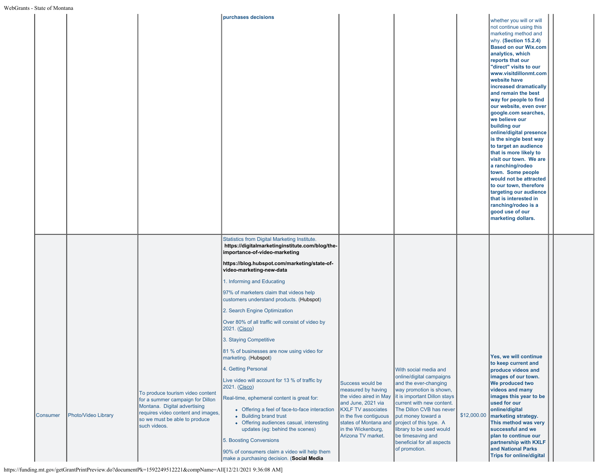|                 |                     |                                                                                                                     | purchases decisions                                                                                                                                                                                          |                                                                                                    |                                                                                                       |             | whether you will or will<br>not continue using this<br>marketing method and<br>why. (Section 15.2.4)<br><b>Based on our Wix.com</b><br>analytics, which<br>reports that our<br>"direct" visits to our<br>www.visitdillonmt.com<br>website have<br>increased dramatically<br>and remain the best<br>way for people to find<br>our website, even over<br>google.com searches,<br>we believe our<br>building our<br>online/digital presence<br>is the single best way<br>to target an audience<br>that is more likely to<br>visit our town. We are<br>a ranching/rodeo<br>town. Some people<br>would not be attracted<br>to our town, therefore<br>targeting our audience<br>that is interested in<br>ranching/rodeo is a<br>good use of our<br>marketing dollars. |  |
|-----------------|---------------------|---------------------------------------------------------------------------------------------------------------------|--------------------------------------------------------------------------------------------------------------------------------------------------------------------------------------------------------------|----------------------------------------------------------------------------------------------------|-------------------------------------------------------------------------------------------------------|-------------|-----------------------------------------------------------------------------------------------------------------------------------------------------------------------------------------------------------------------------------------------------------------------------------------------------------------------------------------------------------------------------------------------------------------------------------------------------------------------------------------------------------------------------------------------------------------------------------------------------------------------------------------------------------------------------------------------------------------------------------------------------------------|--|
|                 |                     |                                                                                                                     | Statistics from Digital Marketing Institute.<br>https://digitalmarketinginstitute.com/blog/the-<br>importance-of-video-marketing<br>https://blog.hubspot.com/marketing/state-of-<br>video-marketing-new-data |                                                                                                    |                                                                                                       |             |                                                                                                                                                                                                                                                                                                                                                                                                                                                                                                                                                                                                                                                                                                                                                                 |  |
|                 |                     |                                                                                                                     | 1. Informing and Educating<br>97% of marketers claim that videos help<br>customers understand products. (Hubspot)                                                                                            |                                                                                                    |                                                                                                       |             |                                                                                                                                                                                                                                                                                                                                                                                                                                                                                                                                                                                                                                                                                                                                                                 |  |
|                 |                     |                                                                                                                     | 2. Search Engine Optimization                                                                                                                                                                                |                                                                                                    |                                                                                                       |             |                                                                                                                                                                                                                                                                                                                                                                                                                                                                                                                                                                                                                                                                                                                                                                 |  |
|                 |                     |                                                                                                                     | Over 80% of all traffic will consist of video by<br>2021. (Cisco)                                                                                                                                            |                                                                                                    |                                                                                                       |             |                                                                                                                                                                                                                                                                                                                                                                                                                                                                                                                                                                                                                                                                                                                                                                 |  |
|                 |                     |                                                                                                                     | 3. Staying Competitive                                                                                                                                                                                       |                                                                                                    |                                                                                                       |             |                                                                                                                                                                                                                                                                                                                                                                                                                                                                                                                                                                                                                                                                                                                                                                 |  |
|                 |                     |                                                                                                                     | 81 % of businesses are now using video for<br>marketing. (Hubspot)                                                                                                                                           |                                                                                                    |                                                                                                       |             | Yes, we will continue                                                                                                                                                                                                                                                                                                                                                                                                                                                                                                                                                                                                                                                                                                                                           |  |
|                 |                     |                                                                                                                     | 4. Getting Personal                                                                                                                                                                                          |                                                                                                    | With social media and<br>online/digital campaigns                                                     |             | to keep current and<br>produce videos and<br>images of our town.                                                                                                                                                                                                                                                                                                                                                                                                                                                                                                                                                                                                                                                                                                |  |
|                 |                     |                                                                                                                     | Live video will account for 13 % of traffic by<br>2021. (Cisco)                                                                                                                                              | Success would be<br>measured by having                                                             | and the ever-changing<br>way promotion is shown,                                                      |             | We produced two<br>videos and many                                                                                                                                                                                                                                                                                                                                                                                                                                                                                                                                                                                                                                                                                                                              |  |
|                 |                     | To produce tourism video content<br>for a summer campaign for Dillon                                                | Real-time, ephemeral content is great for:                                                                                                                                                                   | the video aired in May<br>and June, 2021 via                                                       | it is important Dillon stays<br>current with new content.                                             |             | images this year to be<br>used for our                                                                                                                                                                                                                                                                                                                                                                                                                                                                                                                                                                                                                                                                                                                          |  |
| <b>Consumer</b> | Photo/Video Library | Montana. Digital advertising<br>requires video content and images,<br>so we must be able to produce<br>such videos. | • Offering a feel of face-to-face interaction<br>• Building brand trust<br>• Offering audiences casual, interesting<br>updates (eg: behind the scenes)                                                       | <b>KXLF TV associates</b><br>in the five contiguous<br>states of Montana and<br>in the Wickenburg, | The Dillon CVB has never<br>put money toward a<br>project of this type. A<br>library to be used would | \$12,000.00 | online/digital<br>marketing strategy.<br>This method was very<br>successful and we                                                                                                                                                                                                                                                                                                                                                                                                                                                                                                                                                                                                                                                                              |  |
|                 |                     |                                                                                                                     | 5. Boosting Conversions                                                                                                                                                                                      | Arizona TV market.                                                                                 | be timesaving and<br>beneficial for all aspects                                                       |             | plan to continue our<br>partnership with KXLF                                                                                                                                                                                                                                                                                                                                                                                                                                                                                                                                                                                                                                                                                                                   |  |
|                 |                     |                                                                                                                     | 90% of consumers claim a video will help them<br>make a purchasing decision. (Social Media                                                                                                                   |                                                                                                    | of promotion.                                                                                         |             | and National Parks<br><b>Trips for online/digital</b>                                                                                                                                                                                                                                                                                                                                                                                                                                                                                                                                                                                                                                                                                                           |  |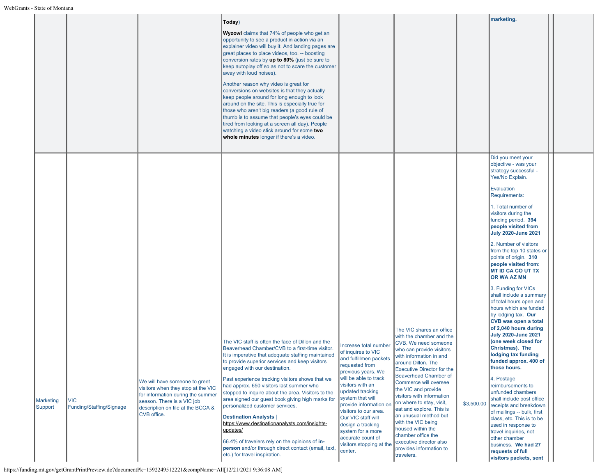|                      |                                        |                                                                                                                                                                                            | Today)<br>Wyzowl claims that 74% of people who get an<br>opportunity to see a product in action via an<br>explainer video will buy it. And landing pages are<br>great places to place videos, too. -- boosting<br>conversion rates by up to 80% (just be sure to<br>keep autoplay off so as not to scare the customer<br>away with loud noises).<br>Another reason why video is great for<br>conversions on websites is that they actually<br>keep people around for long enough to look<br>around on the site. This is especially true for<br>those who aren't big readers (a good rule of<br>thumb is to assume that people's eyes could be<br>tired from looking at a screen all day). People<br>watching a video stick around for some two<br>whole minutes longer if there's a video. |                                                                                                                                                                                                                                                                                                                                                                                   |                                                                                                                                                                                                                                                                                                                                                                                                                                                                                                                                   |            | marketing.                                                                                                                                                                                                                                                                                                                                                                                                                                                                                                                                                                                                                                                                                                                                                                                                                                                                                                                                                                                                                              |  |
|----------------------|----------------------------------------|--------------------------------------------------------------------------------------------------------------------------------------------------------------------------------------------|--------------------------------------------------------------------------------------------------------------------------------------------------------------------------------------------------------------------------------------------------------------------------------------------------------------------------------------------------------------------------------------------------------------------------------------------------------------------------------------------------------------------------------------------------------------------------------------------------------------------------------------------------------------------------------------------------------------------------------------------------------------------------------------------|-----------------------------------------------------------------------------------------------------------------------------------------------------------------------------------------------------------------------------------------------------------------------------------------------------------------------------------------------------------------------------------|-----------------------------------------------------------------------------------------------------------------------------------------------------------------------------------------------------------------------------------------------------------------------------------------------------------------------------------------------------------------------------------------------------------------------------------------------------------------------------------------------------------------------------------|------------|-----------------------------------------------------------------------------------------------------------------------------------------------------------------------------------------------------------------------------------------------------------------------------------------------------------------------------------------------------------------------------------------------------------------------------------------------------------------------------------------------------------------------------------------------------------------------------------------------------------------------------------------------------------------------------------------------------------------------------------------------------------------------------------------------------------------------------------------------------------------------------------------------------------------------------------------------------------------------------------------------------------------------------------------|--|
| Marketing<br>Support | <b>VIC</b><br>Funding/Staffing/Signage | We will have someone to greet<br>visitors when they stop at the VIC<br>for information during the summer<br>season. There is a VIC job<br>description on file at the BCCA &<br>CVB office. | The VIC staff is often the face of Dillon and the<br>Beaverhead Chamber/CVB to a first-time visitor.<br>It is imperative that adequate staffing maintained<br>to provide superior services and keep visitors<br>engaged with our destination.<br>Past experience tracking visitors shows that we<br>had approx. 650 visitors last summer who<br>stopped to inquire about the area. Visitors to the<br>area signed our guest book giving high marks for<br>personalized customer services.<br><b>Destination Analysts  </b><br>https://www.destinationanalysts.com/insights-<br>updates/<br>66.4% of travelers rely on the opinions of in-<br>person and/or through direct contact (email, text,<br>etc.) for travel inspiration.                                                           | Increase total number<br>of inquires to VIC<br>and fulfillmen packets<br>requested from<br>previous years. We<br>will be able to track<br>visitors with an<br>updated tracking<br>system that will<br>provide information or<br>visitors to our area.<br>Our VIC staff will<br>design a tracking<br>system for a more<br>accurate count of<br>visitors stopping at the<br>center. | The VIC shares an office<br>with the chamber and the<br>CVB. We need someone<br>who can provide visitors<br>with information in and<br>around Dillon. The<br><b>Executive Director for the</b><br><b>Beaverhead Chamber of</b><br>Commerce will oversee<br>the VIC and provide<br>visitors with information<br>on where to stay, visit,<br>eat and explore. This is<br>an unusual method but<br>with the VIC being<br>housed within the<br>chamber office the<br>executive director also<br>provides information to<br>travelers. | \$3,500.00 | Did you meet your<br>objective - was your<br>strategy successful -<br>Yes/No Explain.<br>Evaluation<br>Requirements:<br>1. Total number of<br>visitors during the<br>funding period. 394<br>people visited from<br><b>July 2020-June 2021</b><br>2. Number of visitors<br>from the top 10 states or<br>points of origin. 310<br>people visited from:<br><b>MT ID CA CO UT TX</b><br>OR WA AZ MN<br>3. Funding for VICs<br>shall include a summary<br>of total hours open and<br>hours which are funded<br>by lodging tax. Our<br>CVB was open a total<br>of 2,040 hours during<br><b>July 2020-June 2021</b><br>(one week closed for<br>Christmas). The<br>lodging tax funding<br>funded approx. 400 of<br>those hours.<br>4. Postage<br>reimbursements to<br>unfunded chambers<br>shall include post office<br>receipts and breakdown<br>of mailings -- bulk, first<br>class, etc. This is to be<br>used in response to<br>travel inquiries, not<br>other chamber<br>business. We had 27<br>requests of full<br>visitors packets, sent |  |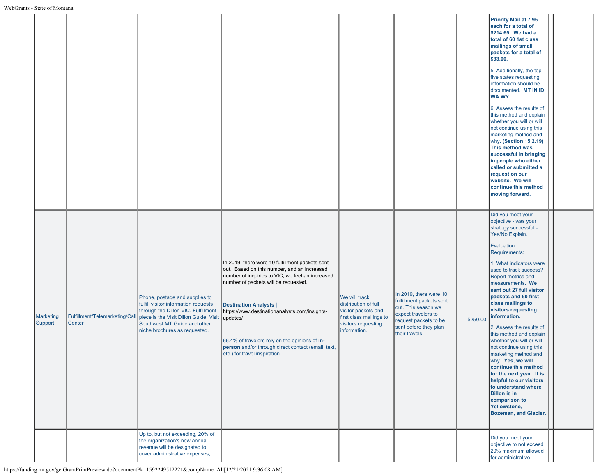|                      |                                          |                                                                                                                                                                                                                                                              |                                                                                                                                                                                                                                                                                                                                                                                                                                   |                                                                                                                                |                                                                                                                                                                      |          | Priority Mail at 7.95<br>each for a total of<br>\$214.65. We had a<br>total of 60 1st class<br>mailings of small<br>packets for a total of<br>\$33.00.<br>5. Additionally, the top<br>five states requesting<br>information should be<br>documented. MT IN ID<br><b>WA WY</b><br>6. Assess the results of<br>this method and explain<br>whether you will or will<br>not continue using this<br>marketing method and<br>why. (Section 15.2.19)<br>This method was<br>successful in bringing<br>in people who either<br>called or submitted a<br>request on our<br>website. We will<br>continue this method<br>moving forward.                                                          |  |
|----------------------|------------------------------------------|--------------------------------------------------------------------------------------------------------------------------------------------------------------------------------------------------------------------------------------------------------------|-----------------------------------------------------------------------------------------------------------------------------------------------------------------------------------------------------------------------------------------------------------------------------------------------------------------------------------------------------------------------------------------------------------------------------------|--------------------------------------------------------------------------------------------------------------------------------|----------------------------------------------------------------------------------------------------------------------------------------------------------------------|----------|---------------------------------------------------------------------------------------------------------------------------------------------------------------------------------------------------------------------------------------------------------------------------------------------------------------------------------------------------------------------------------------------------------------------------------------------------------------------------------------------------------------------------------------------------------------------------------------------------------------------------------------------------------------------------------------|--|
| Marketing<br>Support | Fulfillment/Telemarketing/Call<br>Center | Phone, postage and supplies to<br>fulfill visitor information requests<br>through the Dillon VIC. Fulfillment<br>piece is the Visit Dillon Guide, Visit<br>Southwest MT Guide and other<br>niche brochures as requested.<br>Up to, but not exceeding, 20% of | In 2019, there were 10 fulfillment packets sent<br>out. Based on this number, and an increased<br>number of inquiries to VIC, we feel an increased<br>number of packets will be requested.<br><b>Destination Analysts  </b><br>https://www.destinationanalysts.com/insights-<br>updates/<br>66.4% of travelers rely on the opinions of in-<br>person and/or through direct contact (email, text,<br>etc.) for travel inspiration. | We will track<br>distribution of full<br>visitor packets and<br>first class mailings to<br>visitors requesting<br>information. | In 2019, there were 10<br>fulfillment packets sent<br>out. This season we<br>expect travelers to<br>request packets to be<br>sent before they plan<br>their travels. | \$250.00 | Did you meet your<br>objective - was your<br>strategy successful -<br>Yes/No Explain.<br>Evaluation<br>Requirements:<br>1. What indicators were<br>used to track success?<br>Report metrics and<br>measurements. We<br>sent out 27 full visitor<br>packets and 60 first<br>class mailings to<br>visitors requesting<br>information.<br>2. Assess the results of<br>this method and explain<br>whether you will or will<br>not continue using this<br>marketing method and<br>why. Yes, we will<br>continue this method<br>for the next year. It is<br>helpful to our visitors<br>to understand where<br>Dillon is in<br>comparison to<br>Yellowstone,<br><b>Bozeman, and Glacier.</b> |  |
|                      |                                          | the organization's new annual<br>revenue will be designated to<br>cover administrative expenses,                                                                                                                                                             |                                                                                                                                                                                                                                                                                                                                                                                                                                   |                                                                                                                                |                                                                                                                                                                      |          | Did you meet your<br>objective to not exceed<br>20% maximum allowed<br>for administrative                                                                                                                                                                                                                                                                                                                                                                                                                                                                                                                                                                                             |  |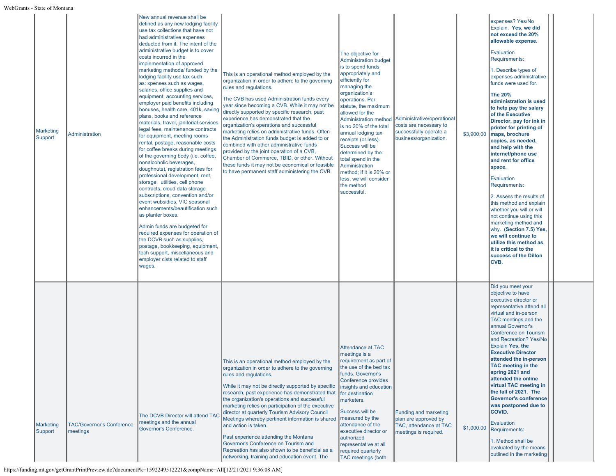| - State of Montana          |                                              |                                                                                                                                                                                                                                                                                                                                                                                                                                                                                                                                                                                                                                                                                                                                                                                                                                                                                                                                                                                                                                                                                                                                                                                                                                                                                                                       |                                                                                                                                                                                                                                                                                                                                                                                                                                                                                                                                                                                                                                                                                                                       |                                                                                                                                                                                                                                                                                                                                                                                                                                                                                         |                                                                                                          |            |                                                                                                                                                                                                                                                                                                                                                                                                                                                                                                                                                                                                                                                                                                                                                                                |  |
|-----------------------------|----------------------------------------------|-----------------------------------------------------------------------------------------------------------------------------------------------------------------------------------------------------------------------------------------------------------------------------------------------------------------------------------------------------------------------------------------------------------------------------------------------------------------------------------------------------------------------------------------------------------------------------------------------------------------------------------------------------------------------------------------------------------------------------------------------------------------------------------------------------------------------------------------------------------------------------------------------------------------------------------------------------------------------------------------------------------------------------------------------------------------------------------------------------------------------------------------------------------------------------------------------------------------------------------------------------------------------------------------------------------------------|-----------------------------------------------------------------------------------------------------------------------------------------------------------------------------------------------------------------------------------------------------------------------------------------------------------------------------------------------------------------------------------------------------------------------------------------------------------------------------------------------------------------------------------------------------------------------------------------------------------------------------------------------------------------------------------------------------------------------|-----------------------------------------------------------------------------------------------------------------------------------------------------------------------------------------------------------------------------------------------------------------------------------------------------------------------------------------------------------------------------------------------------------------------------------------------------------------------------------------|----------------------------------------------------------------------------------------------------------|------------|--------------------------------------------------------------------------------------------------------------------------------------------------------------------------------------------------------------------------------------------------------------------------------------------------------------------------------------------------------------------------------------------------------------------------------------------------------------------------------------------------------------------------------------------------------------------------------------------------------------------------------------------------------------------------------------------------------------------------------------------------------------------------------|--|
| Marketing<br>Support        | <b>Administration</b>                        | New annual revenue shall be<br>defined as any new lodging facility<br>use tax collections that have not<br>had administrative expenses<br>deducted from it. The intent of the<br>administrative budget is to cover<br>costs incurred in the<br>implementation of approved<br>marketing methods/ funded by the<br>lodging facility use tax such<br>as: xpenses such as wages,<br>salaries, office supplies and<br>equipment, accounting services,<br>employer paid benefits including<br>bonuses, health care, 401k, saving<br>plans, books and reference<br>materials, travel, janitorial services,<br>legal fees, maintenance contracts<br>for equipment, meeting rooms<br>rental, postage, reasonable costs<br>for coffee breaks during meetings<br>of the governing body (i.e. coffee,<br>nonalcoholic beverages,<br>doughnuts), registration fees for<br>professional development, rent,<br>storage. utilities, cell phone<br>contracts, cloud data storage<br>subscriptions, convention and/or<br>event wubsidies. VIC seasonal<br>enhancements/beautification such<br>as planter boxes.<br>Admin funds are budgeted for<br>required expenses for operation of<br>the DCVB such as supplies,<br>postage, bookkeeping, equipment,<br>tech support, miscellaneous and<br>employer clsts related to staff<br>wages. | This is an operational method employed by the<br>organization in order to adhere to the governing<br>rules and regulations.<br>The CVB has used Administration funds every<br>year since becoming a CVB. While it may not be<br>directly supported by specific research, past<br>experience has demonstrated that the<br>organization's operations and successful<br>marketing relies on administrative funds. Often<br>the Administration funds budget is added to or<br>combined with other administrative funds<br>provided by the joint operation of a CVB,<br>Chamber of Commerce, TBID, or other. Without<br>these funds it may not be economical or feasible<br>to have permanent staff administering the CVB. | The objective for<br><b>Administration budget</b><br>is to spend funds<br>appropriately and<br>efficiently for<br>managing the<br>organization's<br>operations. Per<br>statute, the maximum<br>allowed for the<br><b>Administration method</b><br>is no 20% of the total<br>annual lodging tax<br>receipts (or less).<br>Success will be<br>determined by the<br>total spend in the<br>Administration<br>method; if it is 20% or<br>less, we will consider<br>the method<br>successful. | Administrative/operational<br>costs are necessary to<br>successfully operate a<br>business/organization. | \$3,900.00 | expenses? Yes/No<br>Explain. Yes, we did<br>not exceed the 20%<br>allowable expense.<br>Evaluation<br>Requirements:<br>1. Describe types of<br>expenses administrative<br>funds were used for.<br><b>The 20%</b><br>administration is used<br>to help pay the salary<br>of the Executive<br>Director, pay for ink in<br>printer for printing of<br>maps, brochure<br>copies, as needed,<br>and help with the<br>internet/phone use<br>and rent for office<br>space.<br>Evaluation<br>Requirements:<br>2. Assess the results of<br>this method and explain<br>whether you will or will<br>not continue using this<br>marketing method and<br>why. (Section 7.5) Yes,<br>we will continue to<br>utilize this method as<br>it is critical to the<br>success of the Dillon<br>CVB. |  |
| <b>Marketing</b><br>Support | <b>TAC/Governor's Conference</b><br>meetings | The DCVB Director will attend TAC<br>meetings and the annual<br>Governor's Conference.                                                                                                                                                                                                                                                                                                                                                                                                                                                                                                                                                                                                                                                                                                                                                                                                                                                                                                                                                                                                                                                                                                                                                                                                                                | This is an operational method employed by the<br>organization in order to adhere to the governing<br>rules and regulations.<br>While it may not be directly supported by specific<br>research, past experience has demonstrated that<br>the organization's operations and successful<br>marketing relies on participation of the executive<br>director at quarterly Tourism Advisory Council<br>Meetings whereby pertinent information is shared<br>and action is taken.<br>Past experience attending the Montana<br>Governor's Conference on Tourism and<br>Recreation has also shown to be beneficial as a<br>networking, training and education event. The                                                         | Attendance at TAC<br>meetings is a<br>requirement as part of<br>the use of the bed tax<br>funds. Governor's<br>Conference provides<br>insights and education<br>for destination<br>marketers.<br>Success will be<br>measured by the<br>attendance of the<br>executive director or<br>authorized<br>representative at all<br>required quarterly<br><b>TAC</b> meetings (both                                                                                                             | Funding and marketing<br>plan are approved by<br>TAC, attendance at TAC<br>meetings is required.         | \$1,000.00 | Did you meet your<br>objective to have<br>executive director or<br>representative attend all<br>virtual and in-person<br>TAC meetings and the<br>annual Governor's<br><b>Conference on Tourism</b><br>and Recreation? Yes/No<br>Explain Yes, the<br><b>Executive Director</b><br>attended the in-person<br>TAC meeting in the<br>spring 2021 and<br>attended the online<br>virtual TAC meeting in<br>the fall of 2021. The<br><b>Governor's conference</b><br>was postponed due to<br>COVID.<br>Evaluation<br>Requirements:<br>1. Method shall be<br>evaluated by the means<br>outlined in the marketing                                                                                                                                                                       |  |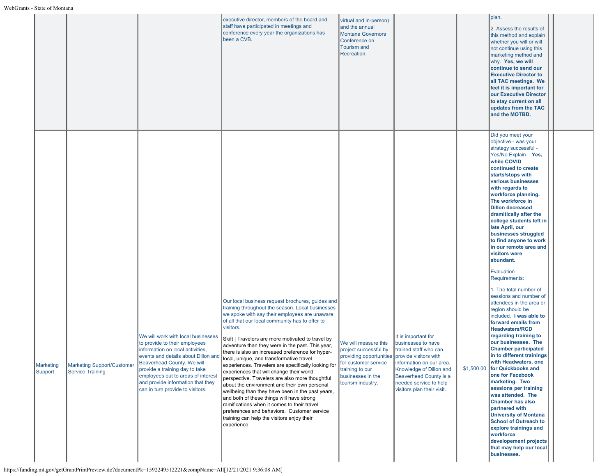|                             |                                                              |                                                                                                                                                                                                                                                                                                                                                                                                                                              | executive director, members of the board and<br>staff have participated in meetings and<br>conference every year the organizations has<br>been a CVB.                                                                                                                                                                                                                                                                                                                                                                                                                                                                                                                                                                                                                                                                                                                                            | virtual and in-person)<br>and the annual<br><b>Montana Governors</b><br>Conference on<br><b>Tourism and</b><br>Recreation.                                                          |                                                                                                                                                                                                             | plan.<br>2. Assess the results of<br>this method and explain<br>whether you will or will<br>not continue using this<br>marketing method and<br>why. Yes, we will<br>continue to send our<br><b>Executive Director to</b><br>all TAC meetings. We<br>feel it is important for<br>our Executive Director<br>to stay current on all<br>updates from the TAC<br>and the MOTBD.                                                                                                                                                                                                                                                                                                                                                                                                                                                                                                                                                                                                                                                                                                                                                                           |  |
|-----------------------------|--------------------------------------------------------------|----------------------------------------------------------------------------------------------------------------------------------------------------------------------------------------------------------------------------------------------------------------------------------------------------------------------------------------------------------------------------------------------------------------------------------------------|--------------------------------------------------------------------------------------------------------------------------------------------------------------------------------------------------------------------------------------------------------------------------------------------------------------------------------------------------------------------------------------------------------------------------------------------------------------------------------------------------------------------------------------------------------------------------------------------------------------------------------------------------------------------------------------------------------------------------------------------------------------------------------------------------------------------------------------------------------------------------------------------------|-------------------------------------------------------------------------------------------------------------------------------------------------------------------------------------|-------------------------------------------------------------------------------------------------------------------------------------------------------------------------------------------------------------|------------------------------------------------------------------------------------------------------------------------------------------------------------------------------------------------------------------------------------------------------------------------------------------------------------------------------------------------------------------------------------------------------------------------------------------------------------------------------------------------------------------------------------------------------------------------------------------------------------------------------------------------------------------------------------------------------------------------------------------------------------------------------------------------------------------------------------------------------------------------------------------------------------------------------------------------------------------------------------------------------------------------------------------------------------------------------------------------------------------------------------------------------|--|
| <b>Marketing</b><br>Support | <b>Marketing Support/Customer</b><br><b>Service Training</b> | We will work with local businesses<br>to provide to their employees<br>information on local activities,<br>events and details about Dillon and<br>Beaverhead County. We will<br>provide a training day to take<br>employees out to areas of interest<br>and provide information that they<br>can in turn provide to visitors.<br>https://funding.mt.gov/getGrantPrintPreview.do?documentPk=1592249512221&compName=All[12/21/2021 9:36:08 AM] | Our local business request brochures, guides and<br>training throughout the season. Local businesses<br>we spoke with say their employees are unaware<br>of all that our local community has to offer to<br>visitors.<br>Skift   Travelers are more motivated to travel by<br>adventure than they were in the past. This year,<br>there is also an increased preference for hyper-<br>local, unique, and transformative travel<br>experiences. Travelers are specifically looking for<br>experiences that will change their world<br>perspective. Travelers are also more thoughtful<br>about the environment and their own personal<br>wellbeing than they have been in the past years,<br>and both of these things will have strong<br>ramifications when it comes to their travel<br>preferences and behaviors. Customer service<br>training can help the visitors enjoy their<br>experience. | We will measure this<br>project successful by<br>providing opportunities provide visitors with<br>for customer service<br>training to our<br>businesses in the<br>tourism industry. | It is important for<br>businesses to have<br>trained staff who can<br>information on our area.<br>Knowledge of Dillon and<br>Beaverhead County is a<br>needed service to help<br>visitors plan their visit. | Did you meet your<br>objective - was your<br>strategy successful -<br>Yes/No Explain. Yes,<br>while COVID<br>continued to create<br>starts/stops with<br>various businesses<br>with regards to<br>workforce planning.<br>The workforce in<br><b>Dillon decreased</b><br>dramitically after the<br>college students left in<br>late April, our<br>businesses struggled<br>to find anyone to work<br>in our remote area and<br>visitors were<br>abundant.<br>Evaluation<br>Requirements:<br>1. The total number of<br>sessions and number of<br>attendees in the area or<br>region should be<br>included. I was able to<br>forward emails from<br><b>Headwaters/RCD</b><br>regarding training to<br>our businesses. The<br><b>Chamber participated</b><br>in to different trainings<br>with Headwaters, one<br>\$1,500.00 for Quickbooks and<br>one for Facebook<br>marketing. Two<br>sessions per training<br>was attended. The<br><b>Chamber has also</b><br>partnered with<br><b>University of Montana</b><br><b>School of Outreach to</b><br>explore trainings and<br>workforce<br>developement projects<br>that may help our local<br>businesses. |  |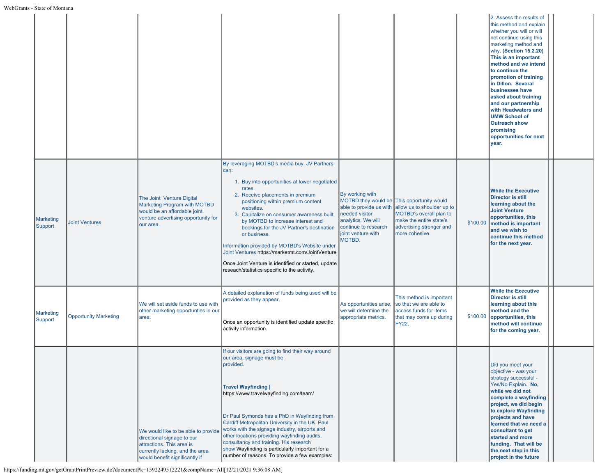|                      |                              |                                                                                                                                                                     |                                                                                                                                                                                                                                                                                                                                                                                                                                                                                                                                                                   |                                                                                                                 |                                                                                                                                                                                                      |          | 2. Assess the results of<br>this method and explain<br>whether you will or will<br>not continue using this<br>marketing method and<br>why. (Section 15.2.20)<br>This is an important<br>method and we intend<br>to continue the<br>promotion of training<br>in Dillon. Several<br>businesses have<br>asked about training<br>and our partnership<br>with Headwaters and<br><b>UMW School of</b><br><b>Outreach show</b><br>promising<br>opportunities for next<br>year. |  |
|----------------------|------------------------------|---------------------------------------------------------------------------------------------------------------------------------------------------------------------|-------------------------------------------------------------------------------------------------------------------------------------------------------------------------------------------------------------------------------------------------------------------------------------------------------------------------------------------------------------------------------------------------------------------------------------------------------------------------------------------------------------------------------------------------------------------|-----------------------------------------------------------------------------------------------------------------|------------------------------------------------------------------------------------------------------------------------------------------------------------------------------------------------------|----------|-------------------------------------------------------------------------------------------------------------------------------------------------------------------------------------------------------------------------------------------------------------------------------------------------------------------------------------------------------------------------------------------------------------------------------------------------------------------------|--|
| Marketing<br>Support | <b>Joint Ventures</b>        | The Joint Venture Digital<br>Marketing Program with MOTBD<br>would be an affordable joint<br>venture advertising opportunity for<br>our area.                       | By leveraging MOTBD's media buy, JV Partners<br>can:<br>1. Buy into opportunities at lower negotiated<br>rates.<br>2. Receive placements in premium<br>positioning within premium content<br>websites.<br>3. Capitalize on consumer awareness built<br>by MOTBD to increase interest and<br>bookings for the JV Partner's destination<br>or business.<br>Information provided by MOTBD's Website under<br>Joint Ventures https://marketmt.com/JointVenture<br>Once Joint Venture is identified or started, update<br>reseach/statistics specific to the activity. | By working with<br>needed visitor<br>analytics. We will<br>continue to research<br>joint venture with<br>MOTBD. | MOTBD they would be This opportunity would<br>able to provide us with allow us to shoulder up to<br>MOTBD's overall plan to<br>make the entire state's<br>advertising stronger and<br>more cohesive. | \$100.00 | <b>While the Executive</b><br><b>Director is still</b><br>learning about the<br><b>Joint Venture</b><br>opportunities, this<br>method is important<br>and we wish to<br>continue this method<br>for the next year.                                                                                                                                                                                                                                                      |  |
| Marketing<br>Support | <b>Opportunity Marketing</b> | We will set aside funds to use with<br>other marketing opportunties in our<br>area.                                                                                 | A detailed explanation of funds being used will be<br>provided as they appear.<br>Once an opportunity is identified update specific<br>activity information.                                                                                                                                                                                                                                                                                                                                                                                                      | As opportunities arise,<br>we will determine the<br>appropriate metrics.                                        | This method is important<br>so that we are able to<br>access funds for items<br>that may come up during<br>FY22.                                                                                     | \$100.00 | <b>While the Executive</b><br><b>Director is still</b><br>learning about this<br>method and the<br>opportunities, this<br>method will continue<br>for the coming year.                                                                                                                                                                                                                                                                                                  |  |
|                      |                              | We would like to be able to provide<br>directional signage to our<br>attractions. This area is<br>currently lacking, and the area<br>would benefit significantly if | If our visitors are going to find their way around<br>our area, signage must be<br>provided.<br><b>Travel Wayfinding  </b><br>https://www.travelwayfinding.com/team/<br>Dr Paul Symonds has a PhD in Wayfinding from<br>Cardiff Metropolitan University in the UK. Paul<br>works with the signage industry, airports and<br>other locations providing wayfinding audits,<br>consultancy and training. His research<br>show Wayfinding is particularly important for a<br>number of reasons. To provide a few examples:                                            |                                                                                                                 |                                                                                                                                                                                                      |          | Did you meet your<br>objective - was your<br>strategy successful -<br>Yes/No Explain. No,<br>while we did not<br>complete a wayfinding<br>project, we did begin<br>to explore Wayfinding<br>projects and have<br>learned that we need a<br>consultant to get<br>started and more<br>funding. That will be<br>the next step in this<br>project in the future                                                                                                             |  |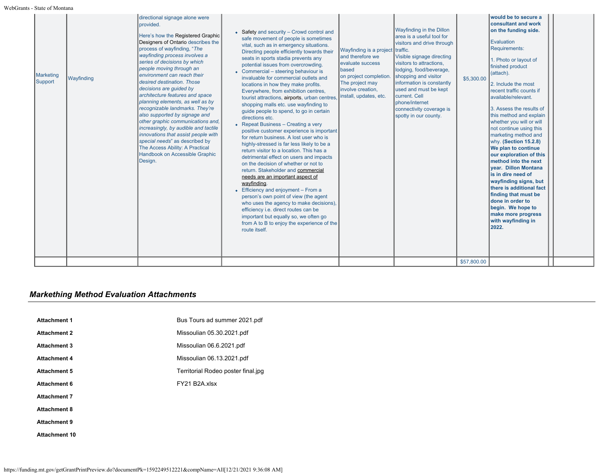WebGrants - State of Montana

| . этате от імплітана        |            |                                                                                                                                                                                                                                                                                                                                                                                                                                                                                                                                                                                                                                                                                                                             |                                                                                                                                                                                                                                                                                                                                                                                                                                                                                                                                                                                                                                                                                                                                                                                                                                                                                                                                                                                                                                                                                                                                                                                                                                                                  |                                                                                                                                                                                       |                                                                                                                                                                                                                                                                                                                                               |                           |                                                                                                                                                                                                                                                                                                                                                                                                                                                                                                                                                                                                                                                                                                                            |  |
|-----------------------------|------------|-----------------------------------------------------------------------------------------------------------------------------------------------------------------------------------------------------------------------------------------------------------------------------------------------------------------------------------------------------------------------------------------------------------------------------------------------------------------------------------------------------------------------------------------------------------------------------------------------------------------------------------------------------------------------------------------------------------------------------|------------------------------------------------------------------------------------------------------------------------------------------------------------------------------------------------------------------------------------------------------------------------------------------------------------------------------------------------------------------------------------------------------------------------------------------------------------------------------------------------------------------------------------------------------------------------------------------------------------------------------------------------------------------------------------------------------------------------------------------------------------------------------------------------------------------------------------------------------------------------------------------------------------------------------------------------------------------------------------------------------------------------------------------------------------------------------------------------------------------------------------------------------------------------------------------------------------------------------------------------------------------|---------------------------------------------------------------------------------------------------------------------------------------------------------------------------------------|-----------------------------------------------------------------------------------------------------------------------------------------------------------------------------------------------------------------------------------------------------------------------------------------------------------------------------------------------|---------------------------|----------------------------------------------------------------------------------------------------------------------------------------------------------------------------------------------------------------------------------------------------------------------------------------------------------------------------------------------------------------------------------------------------------------------------------------------------------------------------------------------------------------------------------------------------------------------------------------------------------------------------------------------------------------------------------------------------------------------------|--|
| <b>Marketing</b><br>Support | Wayfinding | directional signage alone were<br>provided.<br>Here's how the Registered Graphic<br>Designers of Ontario describes the<br>process of wayfinding, "The<br>wayfinding process involves a<br>series of decisions by which<br>people moving through an<br>environment can reach their<br>desired destination. Those<br>decisions are quided by<br>architecture features and space<br>planning elements, as well as by<br>recognizable landmarks. They're<br>also supported by signage and<br>other graphic communications and,<br>increasingly, by audible and tactile<br>innovations that assist people with<br>special needs" as described by<br>The Access Ability: A Practical<br>Handbook on Accessible Graphic<br>Design. | • Safety and security - Crowd control and<br>safe movement of people is sometimes<br>vital, such as in emergency situations.<br>Directing people efficiently towards their<br>seats in sports stadia prevents any<br>potential issues from overcrowding.<br>• Commercial – steering behaviour is<br>invaluable for commercial outlets and<br>locations in how they make profits.<br>Everywhere, from exhibition centres,<br>tourist attractions, airports, urban centres,<br>shopping malls etc. use wayfinding to<br>guide people to spend, to go in certain<br>directions etc.<br>• Repeat Business - Creating a very<br>positive customer experience is important<br>for return business. A lost user who is<br>highly-stressed is far less likely to be a<br>return visitor to a location. This has a<br>detrimental effect on users and impacts<br>on the decision of whether or not to<br>return. Stakeholder and commercial<br>needs are an important aspect of<br>wayfinding.<br>• Efficiency and enjoyment - From a<br>person's own point of view (the agent<br>who uses the agency to make decisions).<br>efficiency i.e. direct routes can be<br>important but equally so, we often go<br>from A to B to enjoy the experience of the<br>route itself. | Wayfinding is a project traffic.<br>and therefore we<br><u>levaluate success</u><br>based<br>on project completion.<br>The project may<br>involve creation,<br>install, updates, etc. | Wayfinding in the Dillon<br>area is a useful tool for<br>visitors and drive through<br>Visible signage directing<br>visitors to attractions,<br>lodging, food/beverage,<br>shopping and visitor<br>information is constantly<br>used and must be kept<br>current. Cell<br>phone/internet<br>connectivity coverage is<br>spotty in our county. | \$5,300.00<br>\$57,800.00 | Iwould be to secure a<br><b>consultant and work</b><br>on the funding side.<br>Evaluation<br>Requirements:<br>1. Photo or layout of<br>finished product<br>(attach).<br>2. Include the most<br>recent traffic counts if<br>available/relevant.<br>3. Assess the results of<br>this method and explain<br>whether you will or will<br>not continue using this<br>marketing method and<br>why. (Section 15.2.8)<br><b>We plan to continue</b><br>our exploration of this<br>Imethod into the next<br>İvear. Dillon Montana<br>lis in dire need of<br>wayfinding signs, but<br>there is additional fact<br>finding that must be<br>done in order to<br>begin. We hope to<br>make more progress<br>with wayfinding in<br>2022. |  |
|                             |            |                                                                                                                                                                                                                                                                                                                                                                                                                                                                                                                                                                                                                                                                                                                             |                                                                                                                                                                                                                                                                                                                                                                                                                                                                                                                                                                                                                                                                                                                                                                                                                                                                                                                                                                                                                                                                                                                                                                                                                                                                  |                                                                                                                                                                                       |                                                                                                                                                                                                                                                                                                                                               |                           |                                                                                                                                                                                                                                                                                                                                                                                                                                                                                                                                                                                                                                                                                                                            |  |

# *Markething Method Evaluation Attachments*

| <b>Attachment 1</b>  | Bus Tours ad summer 2021.pdf       |
|----------------------|------------------------------------|
| <b>Attachment 2</b>  | Missoulian 05.30.2021.pdf          |
| <b>Attachment 3</b>  | Missoulian 06.6.2021.pdf           |
| <b>Attachment 4</b>  | Missoulian 06.13.2021.pdf          |
| <b>Attachment 5</b>  | Territorial Rodeo poster final ipg |
| <b>Attachment 6</b>  | FY21 B2A.xlsx                      |
| <b>Attachment 7</b>  |                                    |
| <b>Attachment 8</b>  |                                    |
| <b>Attachment 9</b>  |                                    |
| <b>Attachment 10</b> |                                    |
|                      |                                    |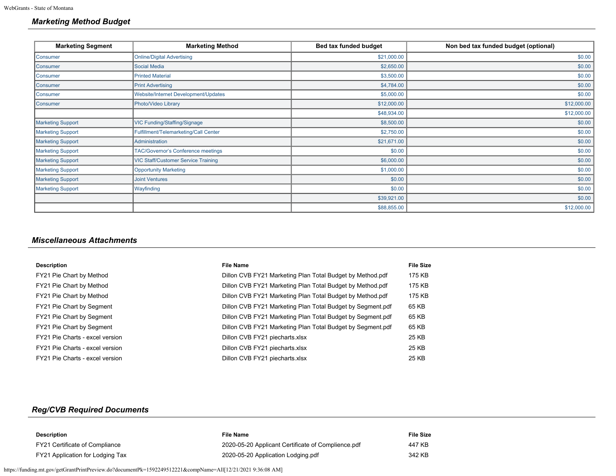### *Marketing Method Budget*

| <b>Marketing Segment</b> | <b>Marketing Method</b>                    | Bed tax funded budget | Non bed tax funded budget (optional) |
|--------------------------|--------------------------------------------|-----------------------|--------------------------------------|
| Consumer                 | <b>Online/Digital Advertising</b>          | \$21,000.00           | \$0.00                               |
| Consumer                 | <b>Social Media</b>                        | \$2,650.00            | \$0.00                               |
| Consumer                 | <b>Printed Material</b>                    | \$3,500.00            | \$0.00                               |
| Consumer                 | <b>Print Advertising</b>                   | \$4,784.00            | \$0.00                               |
| Consumer                 | Website/Internet Development/Updates       | \$5,000.00            | \$0.00                               |
| Consumer                 | Photo/Video Library                        | \$12,000.00           | \$12,000.00                          |
|                          |                                            | \$48,934.00           | \$12,000.00                          |
| <b>Marketing Support</b> | <b>VIC Funding/Staffing/Signage</b>        | \$8,500.00            | \$0.00                               |
| <b>Marketing Support</b> | Fulfillment/Telemarketing/Call Center      | \$2,750.00            | \$0.00                               |
| <b>Marketing Support</b> | Administration                             | \$21,671.00           | \$0.00                               |
| <b>Marketing Support</b> | <b>TAC/Governor's Conference meetings</b>  | \$0.00                | \$0.00                               |
| <b>Marketing Support</b> | <b>VIC Staff/Customer Service Training</b> | \$6,000.00            | \$0.00                               |
| <b>Marketing Support</b> | <b>Opportunity Marketing</b>               | \$1,000.00            | \$0.00                               |
| <b>Marketing Support</b> | <b>Joint Ventures</b>                      | \$0.00                | \$0.00                               |
| <b>Marketing Support</b> | Wayfinding                                 | \$0.00                | \$0.00                               |
|                          |                                            | \$39,921.00           | \$0.00                               |
|                          |                                            | \$88,855.00           | \$12,000.00                          |

### *Miscellaneous Attachments*

| <b>Description</b>              | <b>File Name</b>                                           | <b>File Size</b> |
|---------------------------------|------------------------------------------------------------|------------------|
| FY21 Pie Chart by Method        | Dillon CVB FY21 Marketing Plan Total Budget by Method.pdf  | 175 KB           |
| FY21 Pie Chart by Method        | Dillon CVB FY21 Marketing Plan Total Budget by Method.pdf  | 175 KB           |
| FY21 Pie Chart by Method        | Dillon CVB FY21 Marketing Plan Total Budget by Method.pdf  | 175 KB           |
| FY21 Pie Chart by Segment       | Dillon CVB FY21 Marketing Plan Total Budget by Segment.pdf | 65 KB            |
| FY21 Pie Chart by Segment       | Dillon CVB FY21 Marketing Plan Total Budget by Segment.pdf | 65 KB            |
| FY21 Pie Chart by Segment       | Dillon CVB FY21 Marketing Plan Total Budget by Segment.pdf | 65 KB            |
| FY21 Pie Charts - excel version | Dillon CVB FY21 piecharts.xlsx                             | 25 KB            |
| FY21 Pie Charts - excel version | Dillon CVB FY21 piecharts.xlsx                             | 25 KB            |
| FY21 Pie Charts - excel version | Dillon CVB FY21 piecharts.xlsx                             | 25 KB            |

# *Reg/CVB Required Documents*

| <b>Description</b>                    | <b>File Name</b>                                   | <b>File Size</b> |
|---------------------------------------|----------------------------------------------------|------------------|
| <b>FY21 Certificate of Compliance</b> | 2020-05-20 Applicant Certificate of Complience.pdf | 447 KB           |
| FY21 Application for Lodging Tax      | 2020-05-20 Application Lodging.pdf                 | 342 KB           |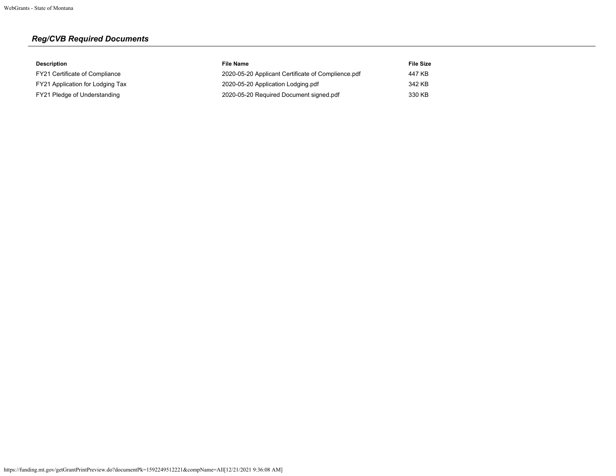# *Reg/CVB Required Documents*

| <b>Description</b>               | <b>File Name</b>                                   | <b>File Size</b> |
|----------------------------------|----------------------------------------------------|------------------|
| FY21 Certificate of Compliance   | 2020-05-20 Applicant Certificate of Complience pdf | 447 KB           |
| FY21 Application for Lodging Tax | 2020-05-20 Application Lodging.pdf                 | 342 KB           |
| FY21 Pledge of Understanding     | 2020-05-20 Required Document signed.pdf            | 330 KB           |